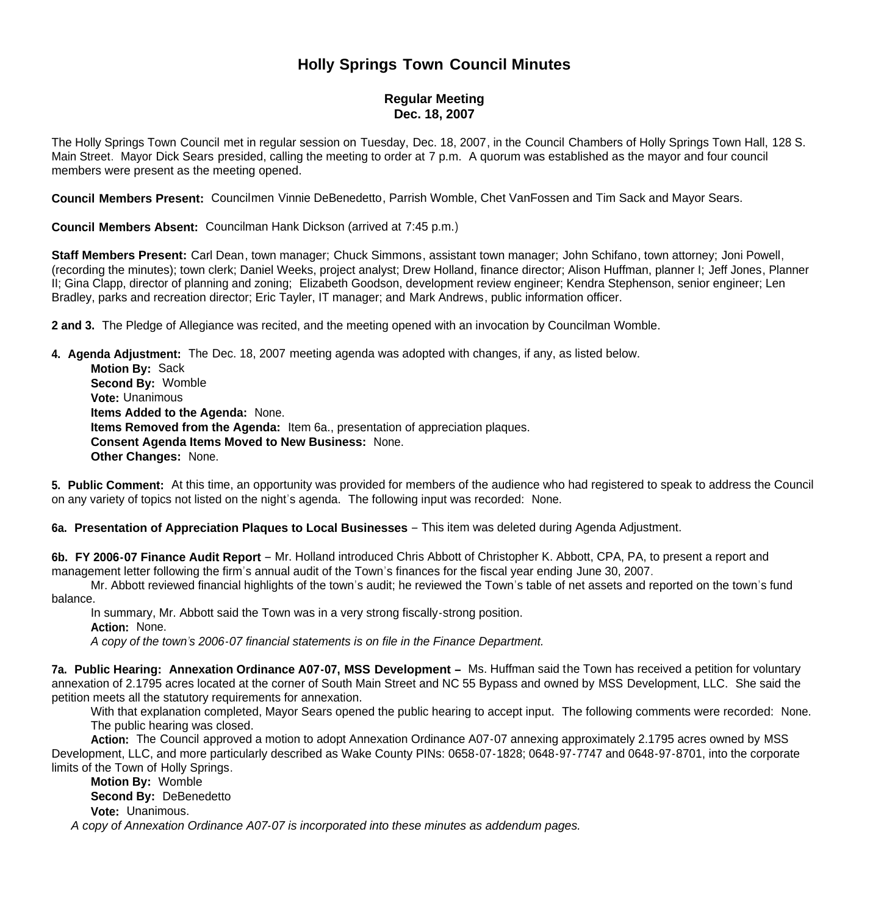# **Holly Springs Town Council Minutes**

# **Regular Meeting Dec. 18, 2007**

The Holly Springs Town Council met in regular session on Tuesday, Dec. 18, 2007, in the Council Chambers of Holly Springs Town Hall, 128 S. Main Street. Mayor Dick Sears presided, calling the meeting to order at 7 p.m. A quorum was established as the mayor and four council members were present as the meeting opened.

**Council Members Present:** Councilmen Vinnie DeBenedetto, Parrish Womble, Chet VanFossen and Tim Sack and Mayor Sears.

**Council Members Absent:** Councilman Hank Dickson (arrived at 7:45 p.m.)

**Staff Members Present:** Carl Dean, town manager; Chuck Simmons, assistant town manager; John Schifano, town attorney; Joni Powell, (recording the minutes); town clerk; Daniel Weeks, project analyst; Drew Holland, finance director; Alison Huffman, planner I; Jeff Jones, Planner II; Gina Clapp, director of planning and zoning; Elizabeth Goodson, development review engineer; Kendra Stephenson, senior engineer; Len Bradley, parks and recreation director; Eric Tayler, IT manager; and Mark Andrews, public information officer.

**2 and 3.** The Pledge of Allegiance was recited, and the meeting opened with an invocation by Councilman Womble.

**4. Agenda Adjustment:** The Dec. 18, 2007 meeting agenda was adopted with changes, if any, as listed below.

 **Motion By:** Sack **Second By:** Womble **Vote:** Unanimous **Items Added to the Agenda:** None. **Items Removed from the Agenda:** Item 6a., presentation of appreciation plaques. **Consent Agenda Items Moved to New Business:** None. **Other Changes:** None.

**5. Public Comment:** At this time, an opportunity was provided for members of the audience who had registered to speak to address the Council on any variety of topics not listed on the night's agenda. The following input was recorded: None.

## **6a. Presentation of Appreciation Plaques to Local Businesses** – This item was deleted during Agenda Adjustment.

**6b. FY 2006-07 Finance Audit Report** – Mr. Holland introduced Chris Abbott of Christopher K. Abbott, CPA, PA, to present a report and management letter following the firm's annual audit of the Town's finances for the fiscal year ending June 30, 2007.

 Mr. Abbott reviewed financial highlights of the town's audit; he reviewed the Town's table of net assets and reported on the town's fund balance.

In summary, Mr. Abbott said the Town was in a very strong fiscally-strong position.

**Action:** None.

 *A copy of the town's 2006-07 financial statements is on file in the Finance Department.* 

**7a. Public Hearing: Annexation Ordinance A07-07, MSS Development –** Ms. Huffman said the Town has received a petition for voluntary annexation of 2.1795 acres located at the corner of South Main Street and NC 55 Bypass and owned by MSS Development, LLC. She said the petition meets all the statutory requirements for annexation.

With that explanation completed, Mayor Sears opened the public hearing to accept input. The following comments were recorded: None. The public hearing was closed.

 **Action:** The Council approved a motion to adopt Annexation Ordinance A07-07 annexing approximately 2.1795 acres owned by MSS Development, LLC, and more particularly described as Wake County PINs: 0658-07-1828; 0648-97-7747 and 0648-97-8701, into the corporate limits of the Town of Holly Springs.

 **Motion By:** Womble **Second By:** DeBenedetto **Vote:** Unanimous. *A copy of Annexation Ordinance A07-07 is incorporated into these minutes as addendum pages.*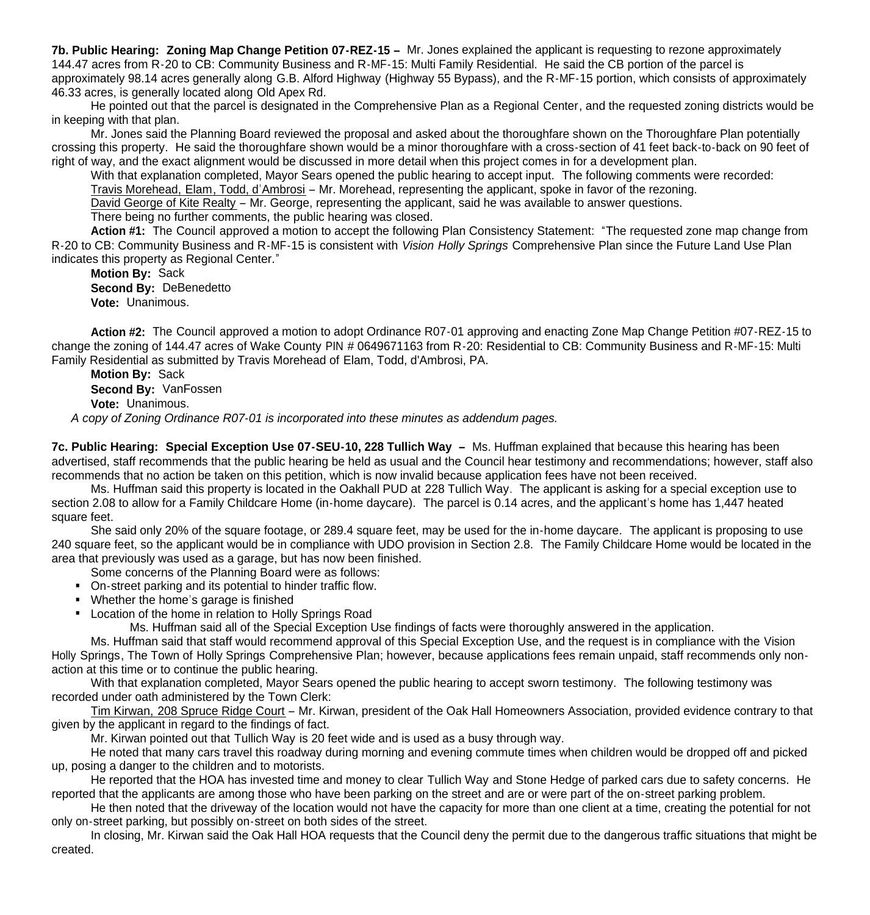**7b. Public Hearing: Zoning Map Change Petition 07-REZ-15 –** Mr. Jones explained the applicant is requesting to rezone approximately 144.47 acres from R-20 to CB: Community Business and R-MF-15: Multi Family Residential. He said the CB portion of the parcel is approximately 98.14 acres generally along G.B. Alford Highway (Highway 55 Bypass), and the R-MF-15 portion, which consists of approximately 46.33 acres, is generally located along Old Apex Rd.

 He pointed out that the parcel is designated in the Comprehensive Plan as a Regional Center, and the requested zoning districts would be in keeping with that plan.

 Mr. Jones said the Planning Board reviewed the proposal and asked about the thoroughfare shown on the Thoroughfare Plan potentially crossing this property. He said the thoroughfare shown would be a minor thoroughfare with a cross-section of 41 feet back-to-back on 90 feet of right of way, and the exact alignment would be discussed in more detail when this project comes in for a development plan.

With that explanation completed, Mayor Sears opened the public hearing to accept input. The following comments were recorded:

Travis Morehead, Elam, Todd, d'Ambrosi – Mr. Morehead, representing the applicant, spoke in favor of the rezoning.

David George of Kite Realty – Mr. George, representing the applicant, said he was available to answer questions.

There being no further comments, the public hearing was closed.

 **Action #1:** The Council approved a motion to accept the following Plan Consistency Statement: "The requested zone map change from R-20 to CB: Community Business and R-MF-15 is consistent with *Vision Holly Springs* Comprehensive Plan since the Future Land Use Plan indicates this property as Regional Center."

 **Motion By:** Sack **Second By:** DeBenedetto **Vote:** Unanimous.

 **Action #2:** The Council approved a motion to adopt Ordinance R07-01 approving and enacting Zone Map Change Petition #07-REZ-15 to change the zoning of 144.47 acres of Wake County PIN # 0649671163 from R-20: Residential to CB: Community Business and R-MF-15: Multi Family Residential as submitted by Travis Morehead of Elam, Todd, d'Ambrosi, PA.

 **Motion By:** Sack **Second By:** VanFossen **Vote:** Unanimous.

*A copy of Zoning Ordinance R07-01 is incorporated into these minutes as addendum pages.*

**7c. Public Hearing: Special Exception Use 07-SEU-10, 228 Tullich Way –** Ms. Huffman explained that because this hearing has been advertised, staff recommends that the public hearing be held as usual and the Council hear testimony and recommendations; however, staff also recommends that no action be taken on this petition, which is now invalid because application fees have not been received.

 Ms. Huffman said this property is located in the Oakhall PUD at 228 Tullich Way. The applicant is asking for a special exception use to section 2.08 to allow for a Family Childcare Home (in-home daycare). The parcel is 0.14 acres, and the applicant's home has 1,447 heated square feet.

 She said only 20% of the square footage, or 289.4 square feet, may be used for the in-home daycare. The applicant is proposing to use 240 square feet, so the applicant would be in compliance with UDO provision in Section 2.8. The Family Childcare Home would be located in the area that previously was used as a garage, but has now been finished.

Some concerns of the Planning Board were as follows:

- On-street parking and its potential to hinder traffic flow.
- Whether the home's garage is finished
- **Location of the home in relation to Holly Springs Road**

Ms. Huffman said all of the Special Exception Use findings of facts were thoroughly answered in the application.

 Ms. Huffman said that staff would recommend approval of this Special Exception Use, and the request is in compliance with the Vision Holly Springs, The Town of Holly Springs Comprehensive Plan; however, because applications fees remain unpaid, staff recommends only nonaction at this time or to continue the public hearing.

With that explanation completed, Mayor Sears opened the public hearing to accept sworn testimony. The following testimony was recorded under oath administered by the Town Clerk:

Tim Kirwan, 208 Spruce Ridge Court – Mr. Kirwan, president of the Oak Hall Homeowners Association, provided evidence contrary to that given by the applicant in regard to the findings of fact.

Mr. Kirwan pointed out that Tullich Way is 20 feet wide and is used as a busy through way.

He noted that many cars travel this roadway during morning and evening commute times when children would be dropped off and picked up, posing a danger to the children and to motorists.

He reported that the HOA has invested time and money to clear Tullich Way and Stone Hedge of parked cars due to safety concerns. He reported that the applicants are among those who have been parking on the street and are or were part of the on-street parking problem.

He then noted that the driveway of the location would not have the capacity for more than one client at a time, creating the potential for not only on-street parking, but possibly on-street on both sides of the street.

In closing, Mr. Kirwan said the Oak Hall HOA requests that the Council deny the permit due to the dangerous traffic situations that might be created.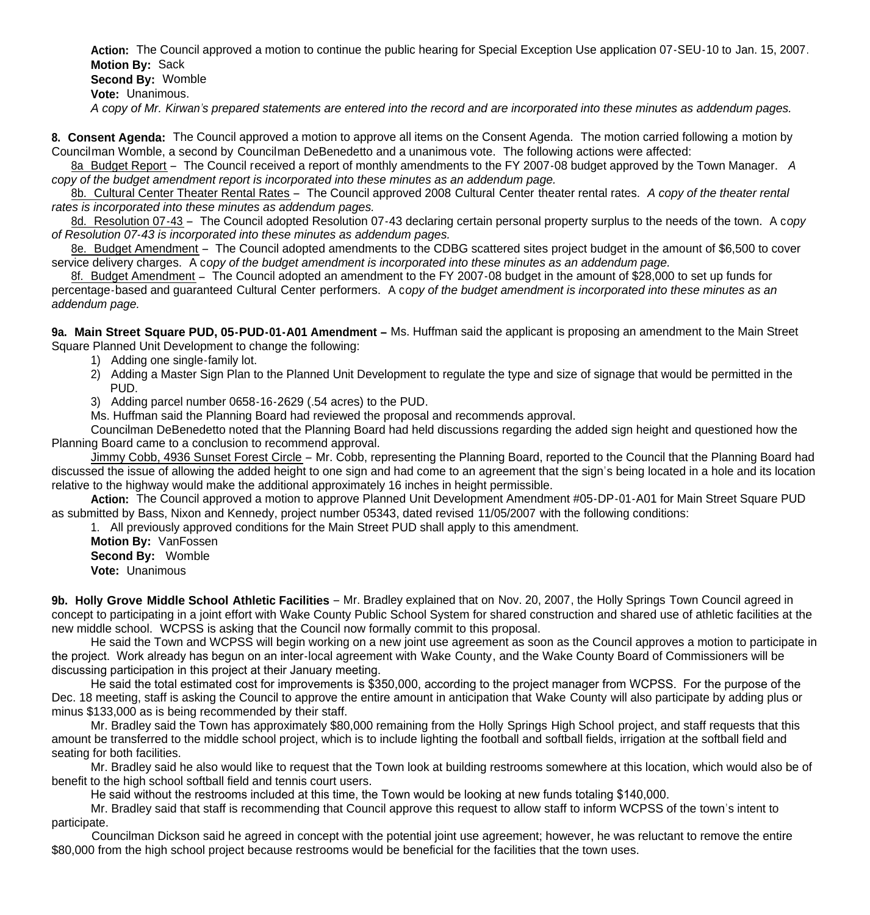**Action:** The Council approved a motion to continue the public hearing for Special Exception Use application 07-SEU-10 to Jan. 15, 2007. **Motion By:** Sack **Second By:** Womble **Vote:** Unanimous. *A copy of Mr. Kirwan's prepared statements are entered into the record and are incorporated into these minutes as addendum pages.*

**8. Consent Agenda:** The Council approved a motion to approve all items on the Consent Agenda. The motion carried following a motion by Councilman Womble, a second by Councilman DeBenedetto and a unanimous vote. The following actions were affected:

8a Budget Report – The Council received a report of monthly amendments to the FY 2007-08 budget approved by the Town Manager. *A copy of the budget amendment report is incorporated into these minutes as an addendum page.*

8b. Cultural Center Theater Rental Rates – The Council approved 2008 Cultural Center theater rental rates. *A copy of the theater rental rates is incorporated into these minutes as addendum pages.*

8d. Resolution 07-43 – The Council adopted Resolution 07-43 declaring certain personal property surplus to the needs of the town. A c*opy of Resolution 07-43 is incorporated into these minutes as addendum pages.*

8e. Budget Amendment – The Council adopted amendments to the CDBG scattered sites project budget in the amount of \$6,500 to cover service delivery charges. A c*opy of the budget amendment is incorporated into these minutes as an addendum page.*

 8f. Budget Amendment – The Council adopted an amendment to the FY 2007-08 budget in the amount of \$28,000 to set up funds for percentage-based and guaranteed Cultural Center performers. A c*opy of the budget amendment is incorporated into these minutes as an addendum page.*

**9a. Main Street Square PUD, 05-PUD-01-A01 Amendment –** Ms. Huffman said the applicant is proposing an amendment to the Main Street Square Planned Unit Development to change the following:

- 1) Adding one single-family lot.
- 2) Adding a Master Sign Plan to the Planned Unit Development to regulate the type and size of signage that would be permitted in the PUD.
- 3) Adding parcel number 0658-16-2629 (.54 acres) to the PUD.

Ms. Huffman said the Planning Board had reviewed the proposal and recommends approval.

 Councilman DeBenedetto noted that the Planning Board had held discussions regarding the added sign height and questioned how the Planning Board came to a conclusion to recommend approval.

Jimmy Cobb, 4936 Sunset Forest Circle – Mr. Cobb, representing the Planning Board, reported to the Council that the Planning Board had discussed the issue of allowing the added height to one sign and had come to an agreement that the sign's being located in a hole and its location relative to the highway would make the additional approximately 16 inches in height permissible.

 **Action:** The Council approved a motion to approve Planned Unit Development Amendment #05-DP-01-A01 for Main Street Square PUD as submitted by Bass, Nixon and Kennedy, project number 05343, dated revised 11/05/2007 with the following conditions:

1. All previously approved conditions for the Main Street PUD shall apply to this amendment.

 **Motion By:** VanFossen **Second By:** Womble **Vote:** Unanimous

**9b. Holly Grove Middle School Athletic Facilities** – Mr. Bradley explained that on Nov. 20, 2007, the Holly Springs Town Council agreed in concept to participating in a joint effort with Wake County Public School System for shared construction and shared use of athletic facilities at the new middle school. WCPSS is asking that the Council now formally commit to this proposal.

 He said the Town and WCPSS will begin working on a new joint use agreement as soon as the Council approves a motion to participate in the project. Work already has begun on an inter-local agreement with Wake County, and the Wake County Board of Commissioners will be discussing participation in this project at their January meeting.

 He said the total estimated cost for improvements is \$350,000, according to the project manager from WCPSS. For the purpose of the Dec. 18 meeting, staff is asking the Council to approve the entire amount in anticipation that Wake County will also participate by adding plus or minus \$133,000 as is being recommended by their staff.

 Mr. Bradley said the Town has approximately \$80,000 remaining from the Holly Springs High School project, and staff requests that this amount be transferred to the middle school project, which is to include lighting the football and softball fields, irrigation at the softball field and seating for both facilities.

 Mr. Bradley said he also would like to request that the Town look at building restrooms somewhere at this location, which would also be of benefit to the high school softball field and tennis court users.

He said without the restrooms included at this time, the Town would be looking at new funds totaling \$140,000.

 Mr. Bradley said that staff is recommending that Council approve this request to allow staff to inform WCPSS of the town's intent to participate.

 Councilman Dickson said he agreed in concept with the potential joint use agreement; however, he was reluctant to remove the entire \$80,000 from the high school project because restrooms would be beneficial for the facilities that the town uses.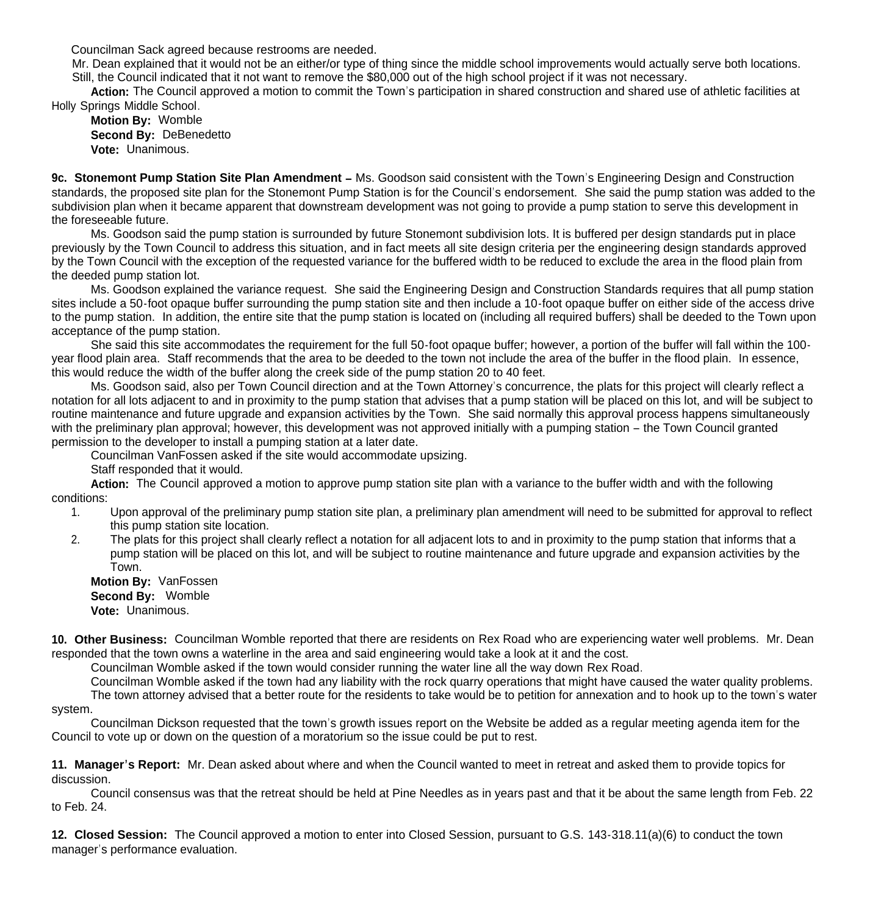Councilman Sack agreed because restrooms are needed.

 Mr. Dean explained that it would not be an either/or type of thing since the middle school improvements would actually serve both locations. Still, the Council indicated that it not want to remove the \$80,000 out of the high school project if it was not necessary.

 **Action:** The Council approved a motion to commit the Town's participation in shared construction and shared use of athletic facilities at Holly Springs Middle School.

**Motion By:** Womble **Second By:** DeBenedetto **Vote:** Unanimous.

9c. Stonemont Pump Station Site Plan Amendment - Ms. Goodson said consistent with the Town's Engineering Design and Construction standards, the proposed site plan for the Stonemont Pump Station is for the Council's endorsement. She said the pump station was added to the subdivision plan when it became apparent that downstream development was not going to provide a pump station to serve this development in the foreseeable future.

 Ms. Goodson said the pump station is surrounded by future Stonemont subdivision lots. It is buffered per design standards put in place previously by the Town Council to address this situation, and in fact meets all site design criteria per the engineering design standards approved by the Town Council with the exception of the requested variance for the buffered width to be reduced to exclude the area in the flood plain from the deeded pump station lot.

 Ms. Goodson explained the variance request. She said the Engineering Design and Construction Standards requires that all pump station sites include a 50-foot opaque buffer surrounding the pump station site and then include a 10-foot opaque buffer on either side of the access drive to the pump station. In addition, the entire site that the pump station is located on (including all required buffers) shall be deeded to the Town upon acceptance of the pump station.

 She said this site accommodates the requirement for the full 50-foot opaque buffer; however, a portion of the buffer will fall within the 100 year flood plain area. Staff recommends that the area to be deeded to the town not include the area of the buffer in the flood plain. In essence, this would reduce the width of the buffer along the creek side of the pump station 20 to 40 feet.

 Ms. Goodson said, also per Town Council direction and at the Town Attorney's concurrence, the plats for this project will clearly reflect a notation for all lots adjacent to and in proximity to the pump station that advises that a pump station will be placed on this lot, and will be subject to routine maintenance and future upgrade and expansion activities by the Town. She said normally this approval process happens simultaneously with the preliminary plan approval; however, this development was not approved initially with a pumping station – the Town Council granted permission to the developer to install a pumping station at a later date.

Councilman VanFossen asked if the site would accommodate upsizing.

Staff responded that it would.

 **Action:** The Council approved a motion to approve pump station site plan with a variance to the buffer width and with the following conditions:

- 1. Upon approval of the preliminary pump station site plan, a preliminary plan amendment will need to be submitted for approval to reflect this pump station site location.
- 2. The plats for this project shall clearly reflect a notation for all adjacent lots to and in proximity to the pump station that informs that a pump station will be placed on this lot, and will be subject to routine maintenance and future upgrade and expansion activities by the Town.

 **Motion By:** VanFossen **Second By:** Womble **Vote:** Unanimous.

**10. Other Business:** Councilman Womble reported that there are residents on Rex Road who are experiencing water well problems. Mr. Dean responded that the town owns a waterline in the area and said engineering would take a look at it and the cost.

Councilman Womble asked if the town would consider running the water line all the way down Rex Road.

 Councilman Womble asked if the town had any liability with the rock quarry operations that might have caused the water quality problems. The town attorney advised that a better route for the residents to take would be to petition for annexation and to hook up to the town's water system.

 Councilman Dickson requested that the town's growth issues report on the Website be added as a regular meeting agenda item for the Council to vote up or down on the question of a moratorium so the issue could be put to rest.

**11. Manager's Report:** Mr. Dean asked about where and when the Council wanted to meet in retreat and asked them to provide topics for discussion.

 Council consensus was that the retreat should be held at Pine Needles as in years past and that it be about the same length from Feb. 22 to Feb. 24.

**12. Closed Session:** The Council approved a motion to enter into Closed Session, pursuant to G.S. 143-318.11(a)(6) to conduct the town manager's performance evaluation.